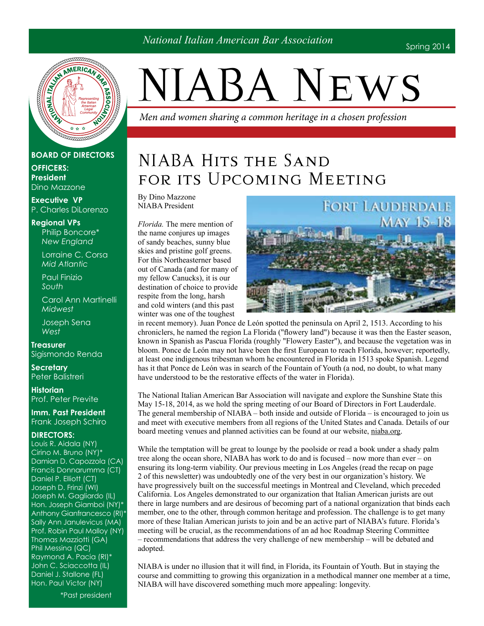### *National Italian American Bar Association*



3A NEWS

*Men and women sharing a common heritage in a chosen profession*

### **BOARD OF DIRECTORS**

**OFFICERS: President** Dino Mazzone

**Executive VP** P. Charles DiLorenzo

#### **Regional VPs**

Philip Boncore\* *New England* 

Lorraine C. Corsa *Mid Atlantic*

Paul Finizio *South*

Carol Ann Martinelli *Midwest*

Joseph Sena *West*

**Treasurer** Sigismondo Renda

**Secretary** Peter Balistreri

**Historian** Prof. Peter Previte

**Imm. Past President** Frank Joseph Schiro

#### **DIRECTORS:**

Louis R. Aidala (NY) Cirino M. Bruno (NY)\* Damian D. Capozzola (CA) Francis Donnarumma (CT) Daniel P. Elliott (CT) Joseph D. Frinzi (WI) Joseph M. Gagliardo (IL) Hon. Joseph Giamboi (NY)\* Anthony Gianfrancesco (RI)\* Sally Ann Janulevicus (MA) Prof. Robin Paul Malloy (NY) Thomas Mazziotti (GA) Phil Messina (QC) Raymond A. Pacia (RI)\* John C. Sciaccotta (IL) Daniel J. Stallone (FL) Hon. Paul Victor (NY)

\*Past president

## NIABA Hits the Sand for its Upcoming Meeting

By Dino Mazzone NIABA President

*Florida.* The mere mention of the name conjures up images of sandy beaches, sunny blue skies and pristine golf greens. For this Northeasterner based out of Canada (and for many of my fellow Canucks), it is our destination of choice to provide respite from the long, harsh and cold winters (and this past winter was one of the toughest



in recent memory). Juan Ponce de León spotted the peninsula on April 2, 1513. According to his chroniclers, he named the region La Florida ("flowery land") because it was then the Easter season, known in Spanish as Pascua Florida (roughly "Flowery Easter"), and because the vegetation was in bloom. Ponce de León may not have been the first European to reach Florida, however; reportedly, at least one indigenous tribesman whom he encountered in Florida in 1513 spoke Spanish. Legend has it that Ponce de León was in search of the Fountain of Youth (a nod, no doubt, to what many have understood to be the restorative effects of the water in Florida).

The National Italian American Bar Association will navigate and explore the Sunshine State this May 15-18, 2014, as we hold the spring meeting of our Board of Directors in Fort Lauderdale. The general membership of NIABA – both inside and outside of Florida – is encouraged to join us and meet with executive members from all regions of the United States and Canada. Details of our board meeting venues and planned activities can be found at our website, [niaba.org.](www.niaba.org)

While the temptation will be great to lounge by the poolside or read a book under a shady palm tree along the ocean shore, NIABA has work to do and is focused – now more than ever – on ensuring its long-term viability. Our previous meeting in Los Angeles (read the recap on page 2 of this newsletter) was undoubtedly one of the very best in our organization's history. We have progressively built on the successful meetings in Montreal and Cleveland, which preceded California. Los Angeles demonstrated to our organization that Italian American jurists are out there in large numbers and are desirous of becoming part of a national organization that binds each member, one to the other, through common heritage and profession. The challenge is to get many more of these Italian American jurists to join and be an active part of NIABA's future. Florida's meeting will be crucial, as the recommendations of an ad hoc Roadmap Steering Committee – recommendations that address the very challenge of new membership – will be debated and adopted.

NIABA is under no illusion that it will find, in Florida, its Fountain of Youth. But in staying the course and committing to growing this organization in a methodical manner one member at a time, NIABA will have discovered something much more appealing: longevity.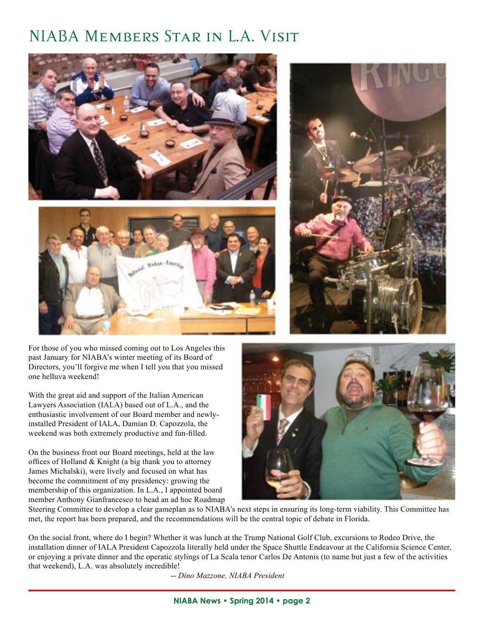## NIABA Members Star in L.A. Visit





For those of you who missed coming out to Los Angeles this past January for NIABA's winter meeting of its Board of Directors, you'll forgive me when I tell you that you missed one helluva weekend!

With the great aid and support of the Italian American Lawyers Association (IALA) based out of L.A., and the enthusiastic involvement of our Board member and newlyinstalled President of IALA, Damian D. Capozzola, the weekend was both extremely productive and fun-filled.

On the business front our Board meetings, held at the law offices of Holland & Knight (a big thank you to attorney James Michalski), were lively and focused on what has become the commitment of my presidency: growing the membership of this organization. In L.A., I appointed board member Anthony Gianfrancesco to head an ad hoc Roadmap





Steering Committee to develop a clear gameplan as to NIABA's next steps in ensuring its long-term viability. This Committee has met, the report has been prepared, and the recommendations will be the central topic of debate in Florida.

On the social front, where do I begin? Whether it was lunch at the Trump National Golf Club, excursions to Rodeo Drive, the installation dinner of IALA President Capozzola literally held under the Space Shuttle Endeavour at the California Science Center, or enjoying a private dinner and the operatic stylings of La Scala tenor Carlos De Antonis (to name but just a few of the activities that weekend), L.A. was absolutely incredible!

-- *Dino Mazzone, NIABA President*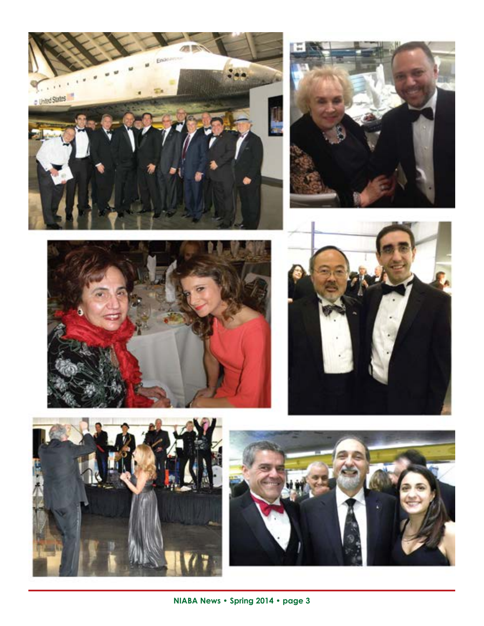









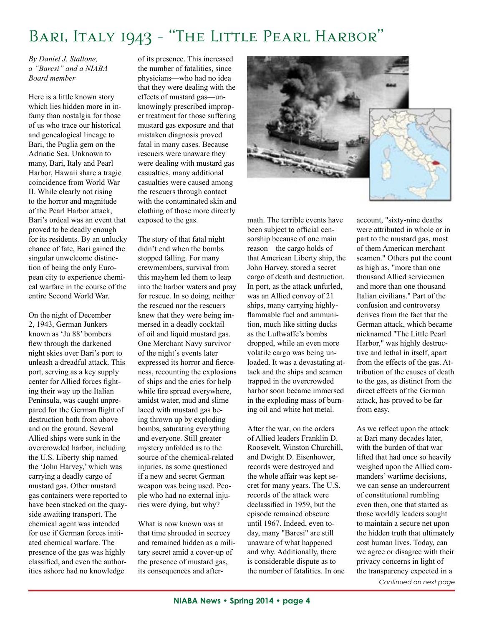# BARI, ITALY 1943 - "THE LITTLE PEARL HARBOR"

*By Daniel J. Stallone, a "Baresi" and a NIABA Board member*

Here is a little known story which lies hidden more in infamy than nostalgia for those of us who trace our historical and genealogical lineage to Bari, the Puglia gem on the Adriatic Sea. Unknown to many, Bari, Italy and Pearl Harbor, Hawaii share a tragic coincidence from World War II. While clearly not rising to the horror and magnitude of the Pearl Harbor attack, Bari's ordeal was an event that proved to be deadly enough for its residents. By an unlucky chance of fate, Bari gained the singular unwelcome distinction of being the only European city to experience chemical warfare in the course of the entire Second World War.

On the night of December 2, 1943, German Junkers known as 'Ju 88' bombers flew through the darkened night skies over Bari's port to unleash a dreadful attack. This port, serving as a key supply center for Allied forces fighting their way up the Italian Peninsula, was caught unprepared for the German flight of destruction both from above and on the ground. Several Allied ships were sunk in the overcrowded harbor, including the U.S. Liberty ship named the 'John Harvey,' which was carrying a deadly cargo of mustard gas. Other mustard gas containers were reported to have been stacked on the quayside awaiting transport. The chemical agent was intended for use if German forces initiated chemical warfare. The presence of the gas was highly classified, and even the authorities ashore had no knowledge

of its presence. This increased the number of fatalities, since physicians—who had no idea that they were dealing with the effects of mustard gas—unknowingly prescribed improper treatment for those suffering mustard gas exposure and that mistaken diagnosis proved fatal in many cases. Because rescuers were unaware they were dealing with mustard gas casualties, many additional casualties were caused among the rescuers through contact with the contaminated skin and clothing of those more directly exposed to the gas.

The story of that fatal night didn't end when the bombs stopped falling. For many crewmembers, survival from this mayhem led them to leap into the harbor waters and pray for rescue. In so doing, neither the rescued nor the rescuers knew that they were being immersed in a deadly cocktail of oil and liquid mustard gas. One Merchant Navy survivor of the night's events later expressed its horror and fierceness, recounting the explosions of ships and the cries for help while fire spread everywhere, amidst water, mud and slime laced with mustard gas being thrown up by exploding bombs, saturating everything and everyone. Still greater mystery unfolded as to the source of the chemical-related injuries, as some questioned if a new and secret German weapon was being used. People who had no external injuries were dying, but why?

What is now known was at that time shrouded in secrecy and remained hidden as a military secret amid a cover-up of the presence of mustard gas, its consequences and after-



math. The terrible events have been subject to official censorship because of one main reason—the cargo holds of that American Liberty ship, the John Harvey, stored a secret cargo of death and destruction. In port, as the attack unfurled, was an Allied convoy of 21 ships, many carrying highlyflammable fuel and ammunition, much like sitting ducks as the Luftwaffe's bombs dropped, while an even more volatile cargo was being unloaded. It was a devastating attack and the ships and seamen trapped in the overcrowded harbor soon became immersed in the exploding mass of burning oil and white hot metal.

After the war, on the orders of Allied leaders Franklin D. Roosevelt, Winston Churchill, and Dwight D. Eisenhower, records were destroyed and the whole affair was kept secret for many years. The U.S. records of the attack were declassified in 1959, but the episode remained obscure until 1967. Indeed, even today, many "Baresi" are still unaware of what happened and why. Additionally, there is considerable dispute as to the number of fatalities. In one account, "sixty-nine deaths were attributed in whole or in part to the mustard gas, most of them American merchant seamen." Others put the count as high as, "more than one thousand Allied servicemen and more than one thousand Italian civilians." Part of the confusion and controversy derives from the fact that the German attack, which became nicknamed "The Little Pearl Harbor," was highly destructive and lethal in itself, apart from the effects of the gas. Attribution of the causes of death to the gas, as distinct from the direct effects of the German attack, has proved to be far from easy.

As we reflect upon the attack at Bari many decades later, with the burden of that war lifted that had once so heavily weighed upon the Allied commanders' wartime decisions, we can sense an undercurrent of constitutional rumbling even then, one that started as those worldly leaders sought to maintain a secure net upon the hidden truth that ultimately cost human lives. Today, can we agree or disagree with their privacy concerns in light of the transparency expected in a *Continued on next page*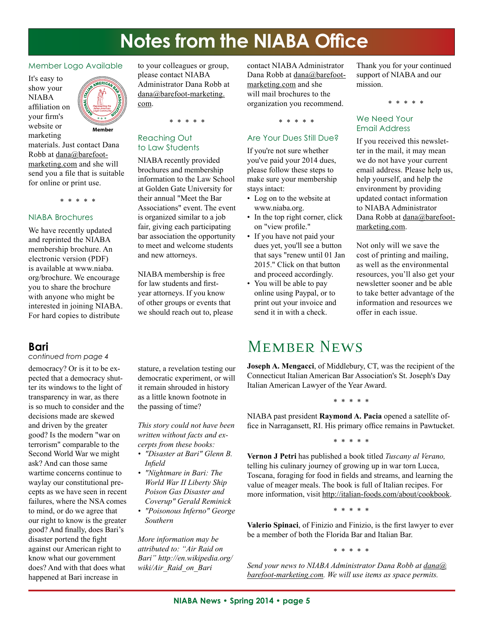# **Notes from the NIABA Office**

### Member Logo Available

It's easy to show your NIABA affiliation on your firm's website or marketing



materials. Just contact Dana Robb at [dana@barefoot](dana%40barefoot-marketing.com)[marketing.com](dana%40barefoot-marketing.com) and she will send you a file that is suitable for online or print use.

\* \* \* \* \*

### NIABA Brochures

We have recently updated and reprinted the NIABA membership brochure. An electronic version (PDF) is available at www.niaba. org/brochure. We encourage you to share the brochure with anyone who might be interested in joining NIABA. For hard copies to distribute

### **Bari**

#### *continued from page 4*

democracy? Or is it to be expected that a democracy shutter its windows to the light of transparency in war, as there is so much to consider and the decisions made are skewed and driven by the greater good? Is the modern "war on terrorism" comparable to the Second World War we might ask? And can those same wartime concerns continue to waylay our constitutional precepts as we have seen in recent failures, where the NSA comes to mind, or do we agree that our right to know is the greater good? And finally, does Bari's disaster portend the fight against our American right to know what our government does? And with that does what happened at Bari increase in

to your colleagues or group, please contact NIABA Administrator Dana Robb at [dana@barefoot-marketing.](dana%40barefoot-marketing.com) [com.](dana%40barefoot-marketing.com)

\* \* \* \* \*

### Reaching Out to Law Students

NIABA recently provided brochures and membership information to the Law School at Golden Gate University for their annual "Meet the Bar Associations" event. The event is organized similar to a job fair, giving each participating bar association the opportunity to meet and welcome students and new attorneys.

NIABA membership is free for law students and firstyear attorneys. If you know of other groups or events that we should reach out to, please

stature, a revelation testing our democratic experiment, or will it remain shrouded in history as a little known footnote in the passing of time?

*This story could not have been written without facts and excerpts from these books:* 

- *• "Disaster at Bari" Glenn B. Infield*
- *• "Nightmare in Bari: The World War II Liberty Ship Poison Gas Disaster and Coverup" Gerald Reminick*
- *• "Poisonous Inferno" George Southern*

*More information may be attributed to: "Air Raid on Bari" http://en.wikipedia.org/ wiki/Air\_Raid\_on\_Bari*

contact NIABA Administrator Dana Robb at [dana@barefoot](dana%40barefoot-marketing.com)[marketing.com](dana%40barefoot-marketing.com) and she will mail brochures to the organization you recommend.

\* \* \* \* \*

### Are Your Dues Still Due?

If you're not sure whether you've paid your 2014 dues, please follow these steps to make sure your membership stays intact:

- Log on to the website at www.niaba.org.
- In the top right corner, click on "view profile."
- If you have not paid your dues yet, you'll see a button that says "renew until 01 Jan 2015." Click on that button and proceed accordingly.
- You will be able to pay online using Paypal, or to print out your invoice and send it in with a check.

Thank you for your continued support of NIABA and our mission.

\* \* \* \* \*

### We Need Your Email Address

If you received this newsletter in the mail, it may mean we do not have your current email address. Please help us, help yourself, and help the environment by providing updated contact information to NIABA Administrator Dana Robb at [dana@barefoot](dana%40barefoot-marketing.com)[marketing.com.](dana%40barefoot-marketing.com)

Not only will we save the cost of printing and mailing, as well as the environmental resources, you'll also get your newsletter sooner and be able to take better advantage of the information and resources we offer in each issue.

### Member News

**Joseph A. Mengacci**, of Middlebury, CT, was the recipient of the Connecticut Italian American Bar Association's St. Joseph's Day Italian American Lawyer of the Year Award.

\* \* \* \* \*

NIABA past president **Raymond A. Pacia** opened a satellite office in Narragansett, RI. His primary office remains in Pawtucket.

\* \* \* \* \*

**Vernon J Petri** has published a book titled *Tuscany al Verano,*  telling his culinary journey of growing up in war torn Lucca, Toscana, foraging for food in fields and streams, and learning the value of meager meals. The book is full of Italian recipes. For more information, visit [http://italian-foods.com/about/cookbook.](http://italian-foods.com/about/cookbook/)

\* \* \* \* \*

**Valerio Spinaci**, of Finizio and Finizio, is the first lawyer to ever be a member of both the Florida Bar and Italian Bar.

\* \* \* \* \*

*Send your news to NIABA Administrator Dana Robb at [dana@](dana%40barefoot-marketing.com) [barefoot-marketing.com](dana%40barefoot-marketing.com). We will use items as space permits.*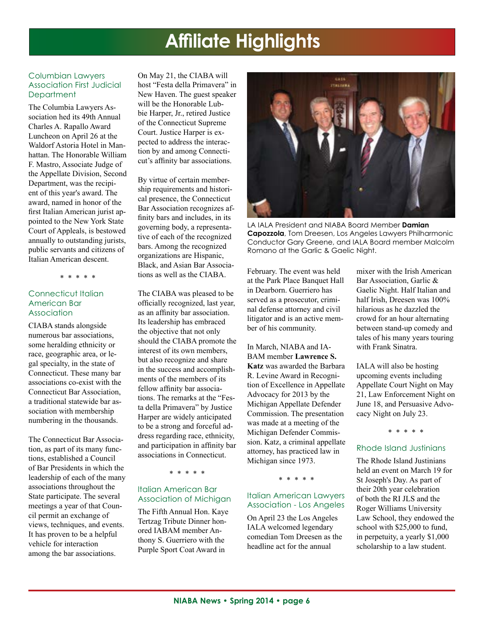# **Affiliate Highlights**

### Columbian Lawyers Association First Judicial **Department**

The Columbia Lawyers Association hed its 49th Annual Charles A. Rapallo Award Luncheon on April 26 at the Waldorf Astoria Hotel in Manhattan. The Honorable William F. Mastro, Associate Judge of the Appellate Division, Second Department, was the recipient of this year's award. The award, named in honor of the first Italian American jurist appointed to the New York State Court of Appleals, is bestowed annually to outstanding jurists, public servants and citizens of Italian American descent.

\* \* \* \* \*

### Connecticut Italian American Bar Association

CIABA stands alongside numerous bar associations, some heralding ethnicity or race, geographic area, or legal specialty, in the state of Connecticut. These many bar associations co-exist with the Connecticut Bar Association, a traditional statewide bar association with membership numbering in the thousands.

The Connecticut Bar Association, as part of its many functions, established a Council of Bar Presidents in which the leadership of each of the many associations throughout the State participate. The several meetings a year of that Council permit an exchange of views, techniques, and events. It has proven to be a helpful vehicle for interaction among the bar associations.

On May 21, the CIABA will host "Festa della Primavera" in New Haven. The guest speaker will be the Honorable Lubbie Harper, Jr., retired Justice of the Connecticut Supreme Court. Justice Harper is expected to address the interaction by and among Connecticut's affinity bar associations.

By virtue of certain membership requirements and historical presence, the Connecticut Bar Association recognizes affinity bars and includes, in its governing body, a representative of each of the recognized bars. Among the recognized organizations are Hispanic, Black, and Asian Bar Associations as well as the CIABA.

The CIABA was pleased to be officially recognized, last year, as an affinity bar association. Its leadership has embraced the objective that not only should the CIABA promote the interest of its own members, but also recognize and share in the success and accomplishments of the members of its fellow affinity bar associations. The remarks at the "Festa della Primavera" by Justice Harper are widely anticipated to be a strong and forceful address regarding race, ethnicity, and participation in affinity bar associations in Connecticut.

\* \* \* \* \*

### Italian American Bar Association of Michigan

The Fifth Annual Hon. Kaye Tertzag Tribute Dinner honored IABAM member Anthony S. Guerriero with the Purple Sport Coat Award in



LA IALA President and NIABA Board Member **Damian Capozzola**, Tom Dreesen, Los Angeles Lawyers Philharmonic Conductor Gary Greene, and IALA Board member Malcolm Romano at the Garlic & Gaelic Night.

February. The event was held at the Park Place Banquet Hall in Dearborn. Guerriero has served as a prosecutor, criminal defense attorney and civil litigator and is an active member of his community.

In March, NIABA and IA-BAM member **Lawrence S. Katz** was awarded the Barbara R. Levine Award in Recognition of Excellence in Appellate Advocacy for 2013 by the Michigan Appellate Defender Commission. The presentation was made at a meeting of the Michigan Defender Commission. Katz, a criminal appellate attorney, has practiced law in Michigan since 1973.

\* \* \* \* \*

### Italian American Lawyers Association - Los Angeles

On April 23 the Los Angeles IALA welcomed legendary comedian Tom Dreesen as the headline act for the annual

mixer with the Irish American Bar Association, Garlic & Gaelic Night. Half Italian and half Irish, Dreesen was 100% hilarious as he dazzled the crowd for an hour alternating between stand-up comedy and tales of his many years touring with Frank Sinatra.

IALA will also be hosting upcoming events including Appellate Court Night on May 21, Law Enforcement Night on June 18, and Persuasive Advocacy Night on July 23.

\* \* \* \* \*

### Rhode Island Justinians

The Rhode Island Justinians held an event on March 19 for St Joseph's Day. As part of their 20th year celebration of both the RI JLS and the Roger Williams University Law School, they endowed the school with \$25,000 to fund, in perpetuity, a yearly \$1,000 scholarship to a law student.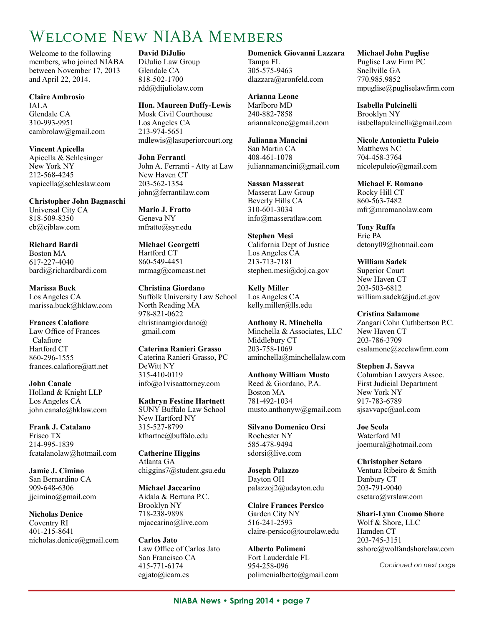### Welcome New NIABA Members

Welcome to the following members, who joined NIABA between November 17, 2013 and April 22, 2014.

**Claire Ambrosio**  IALA Glendale CA 310-993-9951 cambrolaw@gmail.com

**Vincent Apicella**  Apicella & Schlesinger New York NY 212-568-4245 vapicella@schleslaw.com

**Christopher John Bagnaschi**

Universal City CA 818-509-8350 cb@cjblaw.com

**Richard Bardi**  Boston MA 617-227-4040 bardi@richardbardi.com

**Marissa Buck**  Los Angeles CA marissa.buck@hklaw.com

**Frances Calafiore**  Law Office of Frances Calafiore Hartford CT 860-296-1555 frances.calafiore@att.net

**John Canale**  Holland & Knight LLP Los Angeles CA john.canale@hklaw.com

**Frank J. Catalano**  Frisco TX 214-995-1839 fcatalanolaw@hotmail.com

**Jamie J. Cimino**  San Bernardino CA 909-648-6306 jjcimino@gmail.com

**Nicholas Denice**  Coventry RI 401-215-8641 nicholas.denice@gmail.com

### **David DiJulio**

DiJulio Law Group Glendale CA 818-502-1700 rdd@dijuliolaw.com

**Hon. Maureen Duffy-Lewis**  Mosk Civil Courthouse Los Angeles CA 213-974-5651 mdlewis@lasuperiorcourt.org

**John Ferranti**  John A. Ferranti - Atty at Law New Haven CT 203-562-1354 john@ferrantilaw.com

**Mario J. Fratto**  Geneva NY mfratto@syr.edu

**Michael Georgetti**  Hartford CT 860-549-4451 mrmag@comcast.net

**Christina Giordano**  Suffolk University Law School North Reading MA 978-821-0622 christinamgiordano@ gmail.com

**Caterina Ranieri Grasso**  Caterina Ranieri Grasso, PC DeWitt NY 315-410-0119 info@o1visaattorney.com

**Kathryn Festine Hartnett**  SUNY Buffalo Law School New Hartford NY 315-527-8799 kfhartne@buffalo.edu

**Catherine Higgins**  Atlanta GA chiggins7@student.gsu.edu

**Michael Jaccarino**  Aidala & Bertuna P.C. Brooklyn NY 718-238-9898 mjaccarino@live.com

**Carlos Jato**  Law Office of Carlos Jato San Francisco CA 415-771-6174 cgjato@icam.es

**Domenick Giovanni Lazzara** Tampa FL 305-575-9463 dlazzara@aronfeld.com

**Arianna Leone**  Marlboro MD 240-882-7858 ariannaleone@gmail.com

**Julianna Mancini**  San Martin CA 408-461-1078 juliannamancini@gmail.com

**Sassan Masserat**  Masserat Law Group Beverly Hills CA 310-601-3034 info@masseratlaw.com

**Stephen Mesi**  California Dept of Justice Los Angeles CA 213-713-7181 stephen.mesi@doj.ca.gov

**Kelly Miller**  Los Angeles CA kelly.miller@lls.edu

**Anthony R. Minchella**  Minchella & Associates, LLC Middlebury CT 203-758-1069 aminchella@minchellalaw.com

**Anthony William Musto**  Reed & Giordano, P.A. Boston MA 781-492-1034 musto.anthonyw@gmail.com

**Silvano Domenico Orsi**  Rochester NY 585-478-9494 sdorsi@live.com

**Joseph Palazzo**  Dayton OH palazzoj2@udayton.edu

**Claire Frances Persico**  Garden City NY 516-241-2593 claire-persico@tourolaw.edu

**Alberto Polimeni**  Fort Lauderdale FL 954-258-096 polimenialberto@gmail.com **Michael John Puglise**  Puglise Law Firm PC Snellville GA 770.985.9852 mpuglise@pugliselawfirm.com

**Isabella Pulcinelli**  Brooklyn NY isabellapulcinelli@gmail.com

**Nicole Antonietta Puleio**  Matthews NC 704-458-3764 nicolepuleio@gmail.com

**Michael F. Romano** Rocky Hill CT 860-563-7482 mfr@mromanolaw.com

**Tony Ruffa** Erie PA detony09@hotmail.com

**William Sadek** Superior Court New Haven CT 203-503-6812 william.sadek@jud.ct.gov

**Cristina Salamone**  Zangari Cohn Cuthbertson P.C. New Haven CT 203-786-3709 csalamone@zcclawfirm.com

**Stephen J. Savva**  Columbian Lawyers Assoc. First Judicial Department New York NY 917-783-6789 sjsavvapc@aol.com

**Joe Scola**  Waterford MI joemural@hotmail.com

**Christopher Setaro**  Ventura Ribeiro & Smith Danbury CT 203-791-9040 csetaro@vrslaw.com

**Shari-Lynn Cuomo Shore**  Wolf & Shore, LLC Hamden CT 203-745-3151 sshore@wolfandshorelaw.com

*Continued on next page*